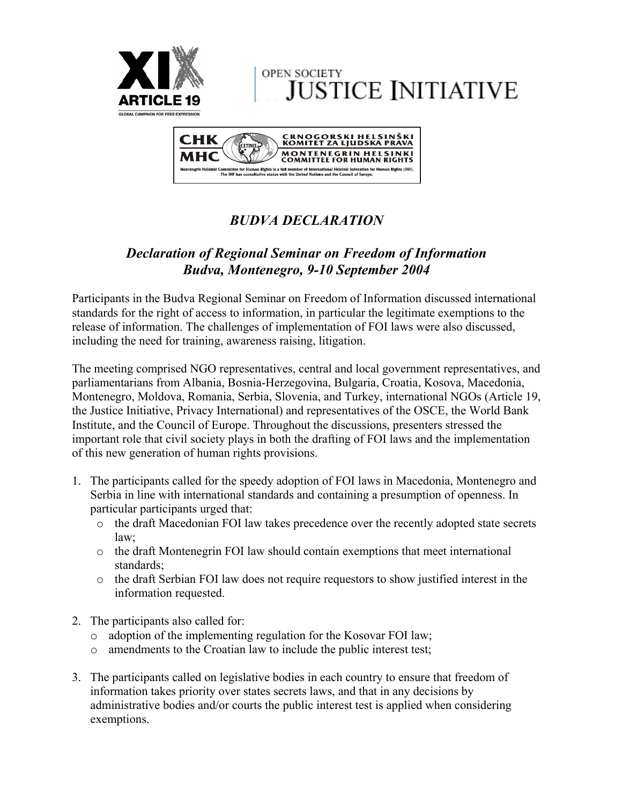

**OPEN SOCIETY JUSTICE INITIATIVE** 



## *BUDVA DECLARATION*

## *Declaration of Regional Seminar on Freedom of Information Budva, Montenegro, 9-10 September 2004*

Participants in the Budva Regional Seminar on Freedom of Information discussed international standards for the right of access to information, in particular the legitimate exemptions to the release of information. The challenges of implementation of FOI laws were also discussed, including the need for training, awareness raising, litigation.

The meeting comprised NGO representatives, central and local government representatives, and parliamentarians from Albania, Bosnia-Herzegovina, Bulgaria, Croatia, Kosova, Macedonia, Montenegro, Moldova, Romania, Serbia, Slovenia, and Turkey, international NGOs (Article 19, the Justice Initiative, Privacy International) and representatives of the OSCE, the World Bank Institute, and the Council of Europe. Throughout the discussions, presenters stressed the important role that civil society plays in both the drafting of FOI laws and the implementation of this new generation of human rights provisions.

- 1. The participants called for the speedy adoption of FOI laws in Macedonia, Montenegro and Serbia in line with international standards and containing a presumption of openness. In particular participants urged that:
	- o the draft Macedonian FOI law takes precedence over the recently adopted state secrets law;
	- o the draft Montenegrin FOI law should contain exemptions that meet international standards;
	- o the draft Serbian FOI law does not require requestors to show justified interest in the information requested.
- 2. The participants also called for:
	- o adoption of the implementing regulation for the Kosovar FOI law;
	- o amendments to the Croatian law to include the public interest test;
- 3. The participants called on legislative bodies in each country to ensure that freedom of information takes priority over states secrets laws, and that in any decisions by administrative bodies and/or courts the public interest test is applied when considering exemptions.